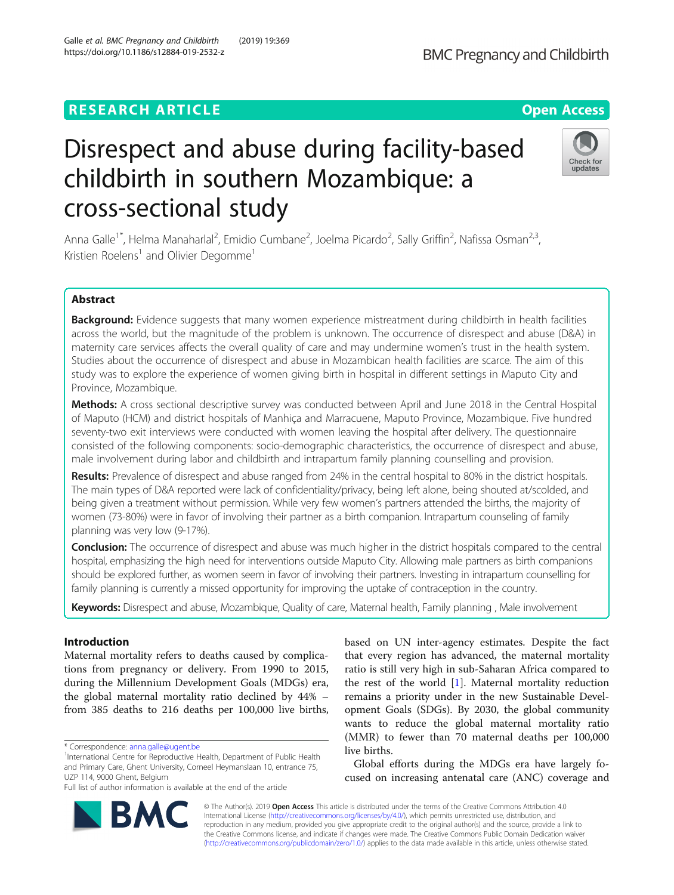# **RESEARCH ARTICLE Example 2014 12:30 The Contract of Contract ACCESS**

# Disrespect and abuse during facility-based childbirth in southern Mozambique: a cross-sectional study

Anna Galle<sup>1\*</sup>, Helma Manaharlal<sup>2</sup>, Emidio Cumbane<sup>2</sup>, Joelma Picardo<sup>2</sup>, Sally Griffin<sup>2</sup>, Nafissa Osman<sup>2,3</sup>, Kristien Roelens<sup>1</sup> and Olivier Degomme<sup>1</sup>

# Abstract

Background: Evidence suggests that many women experience mistreatment during childbirth in health facilities across the world, but the magnitude of the problem is unknown. The occurrence of disrespect and abuse (D&A) in maternity care services affects the overall quality of care and may undermine women's trust in the health system. Studies about the occurrence of disrespect and abuse in Mozambican health facilities are scarce. The aim of this study was to explore the experience of women giving birth in hospital in different settings in Maputo City and Province, Mozambique.

Methods: A cross sectional descriptive survey was conducted between April and June 2018 in the Central Hospital of Maputo (HCM) and district hospitals of Manhiça and Marracuene, Maputo Province, Mozambique. Five hundred seventy-two exit interviews were conducted with women leaving the hospital after delivery. The questionnaire consisted of the following components: socio-demographic characteristics, the occurrence of disrespect and abuse, male involvement during labor and childbirth and intrapartum family planning counselling and provision.

Results: Prevalence of disrespect and abuse ranged from 24% in the central hospital to 80% in the district hospitals. The main types of D&A reported were lack of confidentiality/privacy, being left alone, being shouted at/scolded, and being given a treatment without permission. While very few women's partners attended the births, the majority of women (73-80%) were in favor of involving their partner as a birth companion. Intrapartum counseling of family planning was very low (9-17%).

Conclusion: The occurrence of disrespect and abuse was much higher in the district hospitals compared to the central hospital, emphasizing the high need for interventions outside Maputo City. Allowing male partners as birth companions should be explored further, as women seem in favor of involving their partners. Investing in intrapartum counselling for family planning is currently a missed opportunity for improving the uptake of contraception in the country.

Keywords: Disrespect and abuse, Mozambique, Quality of care, Maternal health, Family planning, Male involvement

## Introduction

Maternal mortality refers to deaths caused by complications from pregnancy or delivery. From 1990 to 2015, during the Millennium Development Goals (MDGs) era, the global maternal mortality ratio declined by 44% – from 385 deaths to 216 deaths per 100,000 live births,

\* Correspondence: [anna.galle@ugent.be](mailto:anna.galle@ugent.be) <sup>1</sup>

Full list of author information is available at the end of the article

based on UN inter-agency estimates. Despite the fact that every region has advanced, the maternal mortality ratio is still very high in sub-Saharan Africa compared to the rest of the world [[1\]](#page-10-0). Maternal mortality reduction remains a priority under in the new Sustainable Development Goals (SDGs). By 2030, the global community wants to reduce the global maternal mortality ratio (MMR) to fewer than 70 maternal deaths per 100,000 live births.

Global efforts during the MDGs era have largely focused on increasing antenatal care (ANC) coverage and

© The Author(s). 2019 Open Access This article is distributed under the terms of the Creative Commons Attribution 4.0 International License [\(http://creativecommons.org/licenses/by/4.0/](http://creativecommons.org/licenses/by/4.0/)), which permits unrestricted use, distribution, and reproduction in any medium, provided you give appropriate credit to the original author(s) and the source, provide a link to the Creative Commons license, and indicate if changes were made. The Creative Commons Public Domain Dedication waiver [\(http://creativecommons.org/publicdomain/zero/1.0/](http://creativecommons.org/publicdomain/zero/1.0/)) applies to the data made available in this article, unless otherwise stated.





<sup>&</sup>lt;sup>1</sup>International Centre for Reproductive Health, Department of Public Health and Primary Care, Ghent University, Corneel Heymanslaan 10, entrance 75, UZP 114, 9000 Ghent, Belgium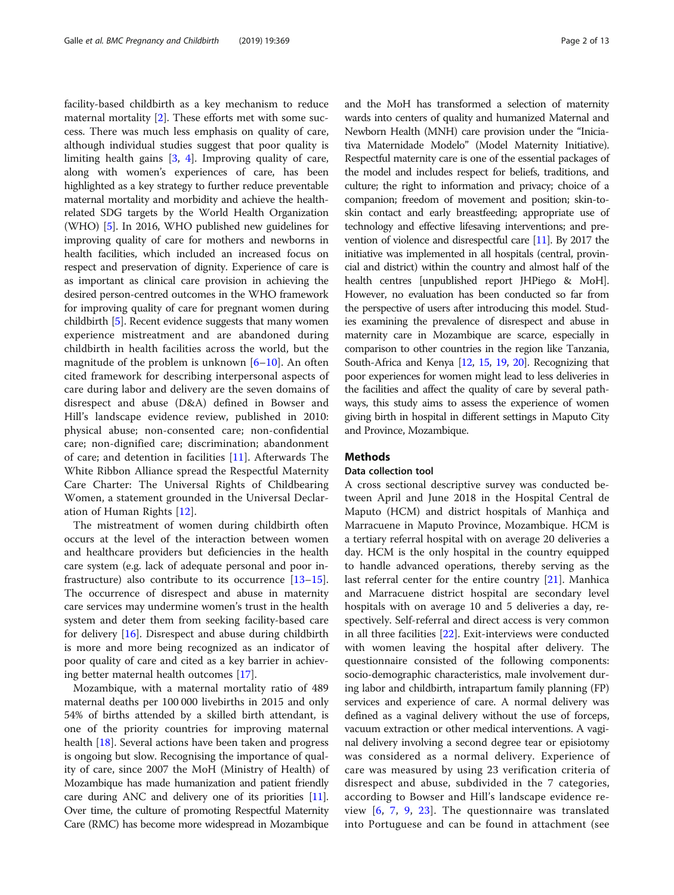facility-based childbirth as a key mechanism to reduce maternal mortality [\[2](#page-10-0)]. These efforts met with some success. There was much less emphasis on quality of care, although individual studies suggest that poor quality is limiting health gains [[3,](#page-10-0) [4\]](#page-11-0). Improving quality of care, along with women's experiences of care, has been highlighted as a key strategy to further reduce preventable maternal mortality and morbidity and achieve the healthrelated SDG targets by the World Health Organization (WHO) [\[5](#page-11-0)]. In 2016, WHO published new guidelines for improving quality of care for mothers and newborns in health facilities, which included an increased focus on respect and preservation of dignity. Experience of care is as important as clinical care provision in achieving the desired person-centred outcomes in the WHO framework for improving quality of care for pregnant women during childbirth [[5](#page-11-0)]. Recent evidence suggests that many women experience mistreatment and are abandoned during childbirth in health facilities across the world, but the magnitude of the problem is unknown  $[6–10]$  $[6–10]$  $[6–10]$  $[6–10]$  $[6–10]$ . An often cited framework for describing interpersonal aspects of care during labor and delivery are the seven domains of disrespect and abuse (D&A) defined in Bowser and Hill's landscape evidence review, published in 2010: physical abuse; non-consented care; non-confidential care; non-dignified care; discrimination; abandonment of care; and detention in facilities [[11\]](#page-11-0). Afterwards The White Ribbon Alliance spread the Respectful Maternity Care Charter: The Universal Rights of Childbearing Women, a statement grounded in the Universal Declaration of Human Rights [\[12](#page-11-0)].

The mistreatment of women during childbirth often occurs at the level of the interaction between women and healthcare providers but deficiencies in the health care system (e.g. lack of adequate personal and poor infrastructure) also contribute to its occurrence [[13](#page-11-0)–[15](#page-11-0)]. The occurrence of disrespect and abuse in maternity care services may undermine women's trust in the health system and deter them from seeking facility-based care for delivery [\[16](#page-11-0)]. Disrespect and abuse during childbirth is more and more being recognized as an indicator of poor quality of care and cited as a key barrier in achieving better maternal health outcomes [\[17\]](#page-11-0).

Mozambique, with a maternal mortality ratio of 489 maternal deaths per 100 000 livebirths in 2015 and only 54% of births attended by a skilled birth attendant, is one of the priority countries for improving maternal health [[18\]](#page-11-0). Several actions have been taken and progress is ongoing but slow. Recognising the importance of quality of care, since 2007 the MoH (Ministry of Health) of Mozambique has made humanization and patient friendly care during ANC and delivery one of its priorities [\[11](#page-11-0)]. Over time, the culture of promoting Respectful Maternity Care (RMC) has become more widespread in Mozambique

and the MoH has transformed a selection of maternity wards into centers of quality and humanized Maternal and Newborn Health (MNH) care provision under the "Iniciativa Maternidade Modelo" (Model Maternity Initiative). Respectful maternity care is one of the essential packages of the model and includes respect for beliefs, traditions, and culture; the right to information and privacy; choice of a companion; freedom of movement and position; skin-toskin contact and early breastfeeding; appropriate use of technology and effective lifesaving interventions; and prevention of violence and disrespectful care [\[11](#page-11-0)]. By 2017 the initiative was implemented in all hospitals (central, provincial and district) within the country and almost half of the health centres [unpublished report JHPiego & MoH]. However, no evaluation has been conducted so far from the perspective of users after introducing this model. Studies examining the prevalence of disrespect and abuse in maternity care in Mozambique are scarce, especially in comparison to other countries in the region like Tanzania, South-Africa and Kenya [\[12](#page-11-0), [15,](#page-11-0) [19,](#page-11-0) [20](#page-11-0)]. Recognizing that poor experiences for women might lead to less deliveries in the facilities and affect the quality of care by several pathways, this study aims to assess the experience of women giving birth in hospital in different settings in Maputo City and Province, Mozambique.

#### **Methods**

#### Data collection tool

A cross sectional descriptive survey was conducted between April and June 2018 in the Hospital Central de Maputo (HCM) and district hospitals of Manhiça and Marracuene in Maputo Province, Mozambique. HCM is a tertiary referral hospital with on average 20 deliveries a day. HCM is the only hospital in the country equipped to handle advanced operations, thereby serving as the last referral center for the entire country [[21\]](#page-11-0). Manhica and Marracuene district hospital are secondary level hospitals with on average 10 and 5 deliveries a day, respectively. Self-referral and direct access is very common in all three facilities [[22](#page-11-0)]. Exit-interviews were conducted with women leaving the hospital after delivery. The questionnaire consisted of the following components: socio-demographic characteristics, male involvement during labor and childbirth, intrapartum family planning (FP) services and experience of care. A normal delivery was defined as a vaginal delivery without the use of forceps, vacuum extraction or other medical interventions. A vaginal delivery involving a second degree tear or episiotomy was considered as a normal delivery. Experience of care was measured by using 23 verification criteria of disrespect and abuse, subdivided in the 7 categories, according to Bowser and Hill's landscape evidence review [\[6](#page-11-0), [7,](#page-11-0) [9](#page-11-0), [23](#page-11-0)]. The questionnaire was translated into Portuguese and can be found in attachment (see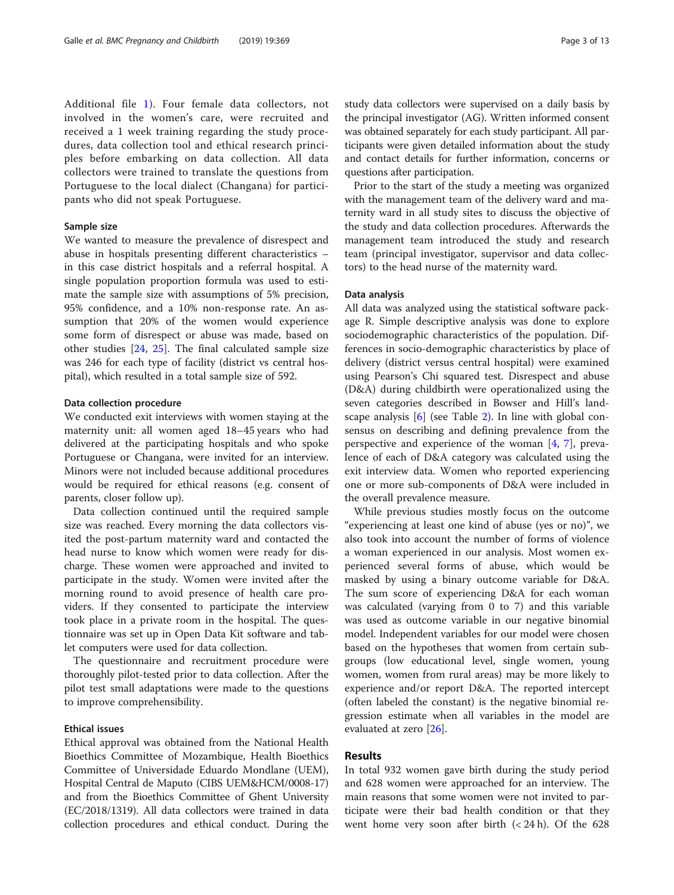Additional file [1\)](#page-10-0). Four female data collectors, not involved in the women's care, were recruited and received a 1 week training regarding the study procedures, data collection tool and ethical research principles before embarking on data collection. All data collectors were trained to translate the questions from Portuguese to the local dialect (Changana) for participants who did not speak Portuguese.

#### Sample size

We wanted to measure the prevalence of disrespect and abuse in hospitals presenting different characteristics – in this case district hospitals and a referral hospital. A single population proportion formula was used to estimate the sample size with assumptions of 5% precision, 95% confidence, and a 10% non-response rate. An assumption that 20% of the women would experience some form of disrespect or abuse was made, based on other studies [[24](#page-11-0), [25\]](#page-11-0). The final calculated sample size was 246 for each type of facility (district vs central hospital), which resulted in a total sample size of 592.

#### Data collection procedure

We conducted exit interviews with women staying at the maternity unit: all women aged 18–45 years who had delivered at the participating hospitals and who spoke Portuguese or Changana, were invited for an interview. Minors were not included because additional procedures would be required for ethical reasons (e.g. consent of parents, closer follow up).

Data collection continued until the required sample size was reached. Every morning the data collectors visited the post-partum maternity ward and contacted the head nurse to know which women were ready for discharge. These women were approached and invited to participate in the study. Women were invited after the morning round to avoid presence of health care providers. If they consented to participate the interview took place in a private room in the hospital. The questionnaire was set up in Open Data Kit software and tablet computers were used for data collection.

The questionnaire and recruitment procedure were thoroughly pilot-tested prior to data collection. After the pilot test small adaptations were made to the questions to improve comprehensibility.

#### Ethical issues

Ethical approval was obtained from the National Health Bioethics Committee of Mozambique, Health Bioethics Committee of Universidade Eduardo Mondlane (UEM), Hospital Central de Maputo (CIBS UEM&HCM/0008-17) and from the Bioethics Committee of Ghent University (EC/2018/1319). All data collectors were trained in data collection procedures and ethical conduct. During the study data collectors were supervised on a daily basis by the principal investigator (AG). Written informed consent was obtained separately for each study participant. All participants were given detailed information about the study and contact details for further information, concerns or questions after participation.

Prior to the start of the study a meeting was organized with the management team of the delivery ward and maternity ward in all study sites to discuss the objective of the study and data collection procedures. Afterwards the management team introduced the study and research team (principal investigator, supervisor and data collectors) to the head nurse of the maternity ward.

#### Data analysis

All data was analyzed using the statistical software package R. Simple descriptive analysis was done to explore sociodemographic characteristics of the population. Differences in socio-demographic characteristics by place of delivery (district versus central hospital) were examined using Pearson's Chi squared test. Disrespect and abuse (D&A) during childbirth were operationalized using the seven categories described in Bowser and Hill's landscape analysis [[6](#page-11-0)] (see Table [2\)](#page-6-0). In line with global consensus on describing and defining prevalence from the perspective and experience of the woman  $[4, 7]$  $[4, 7]$  $[4, 7]$  $[4, 7]$ , prevalence of each of D&A category was calculated using the exit interview data. Women who reported experiencing one or more sub-components of D&A were included in the overall prevalence measure.

While previous studies mostly focus on the outcome "experiencing at least one kind of abuse (yes or no)", we also took into account the number of forms of violence a woman experienced in our analysis. Most women experienced several forms of abuse, which would be masked by using a binary outcome variable for D&A. The sum score of experiencing D&A for each woman was calculated (varying from 0 to 7) and this variable was used as outcome variable in our negative binomial model. Independent variables for our model were chosen based on the hypotheses that women from certain subgroups (low educational level, single women, young women, women from rural areas) may be more likely to experience and/or report D&A. The reported intercept (often labeled the constant) is the negative binomial regression estimate when all variables in the model are evaluated at zero [\[26\]](#page-11-0).

#### Results

In total 932 women gave birth during the study period and 628 women were approached for an interview. The main reasons that some women were not invited to participate were their bad health condition or that they went home very soon after birth  $( $24 \text{ h}$ ). Of the 628$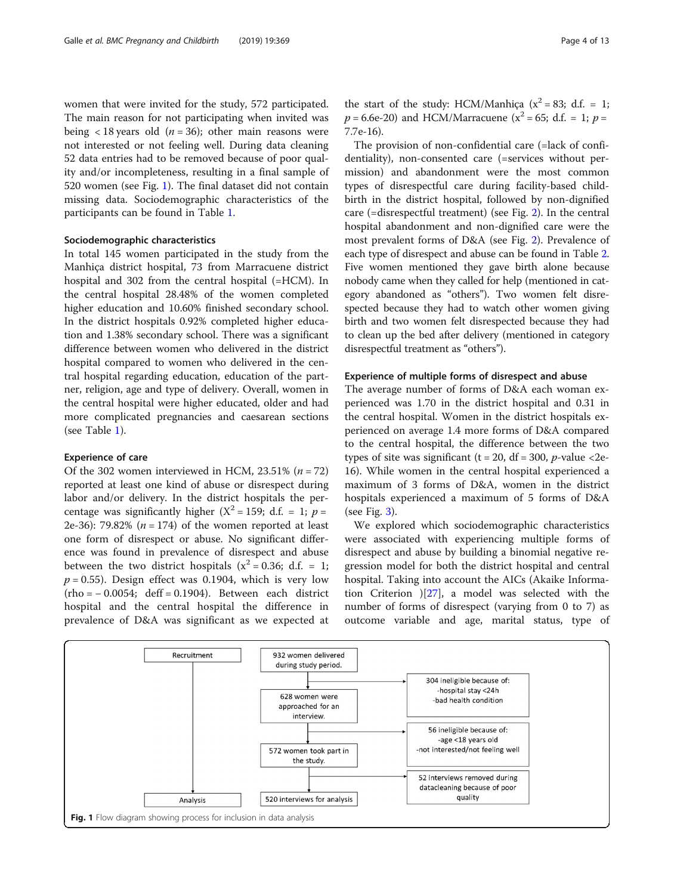women that were invited for the study, 572 participated. The main reason for not participating when invited was being < 18 years old ( $n = 36$ ); other main reasons were not interested or not feeling well. During data cleaning 52 data entries had to be removed because of poor quality and/or incompleteness, resulting in a final sample of 520 women (see Fig. 1). The final dataset did not contain missing data. Sociodemographic characteristics of the participants can be found in Table [1.](#page-4-0)

#### Sociodemographic characteristics

In total 145 women participated in the study from the Manhiça district hospital, 73 from Marracuene district hospital and 302 from the central hospital (=HCM). In the central hospital 28.48% of the women completed higher education and 10.60% finished secondary school. In the district hospitals 0.92% completed higher education and 1.38% secondary school. There was a significant difference between women who delivered in the district hospital compared to women who delivered in the central hospital regarding education, education of the partner, religion, age and type of delivery. Overall, women in the central hospital were higher educated, older and had more complicated pregnancies and caesarean sections (see Table [1](#page-4-0)).

#### Experience of care

Of the 302 women interviewed in HCM,  $23.51\%$  ( $n = 72$ ) reported at least one kind of abuse or disrespect during labor and/or delivery. In the district hospitals the percentage was significantly higher  $(X^2 = 159; d.f. = 1; p =$ 2e-36): 79.82% ( $n = 174$ ) of the women reported at least one form of disrespect or abuse. No significant difference was found in prevalence of disrespect and abuse between the two district hospitals ( $x^2 = 0.36$ ; d.f. = 1;  $p = 0.55$ ). Design effect was 0.1904, which is very low (rho = − 0.0054; deff = 0.1904). Between each district hospital and the central hospital the difference in prevalence of D&A was significant as we expected at

the start of the study: HCM/Manhica  $(x^2 = 83; d.f. = 1;$  $p = 6.6e-20$ ) and HCM/Marracuene ( $x^2 = 65$ ; d.f. = 1;  $p =$ 7.7e-16).

The provision of non-confidential care (=lack of confidentiality), non-consented care (=services without permission) and abandonment were the most common types of disrespectful care during facility-based childbirth in the district hospital, followed by non-dignified care (=disrespectful treatment) (see Fig. [2\)](#page-5-0). In the central hospital abandonment and non-dignified care were the most prevalent forms of D&A (see Fig. [2\)](#page-5-0). Prevalence of each type of disrespect and abuse can be found in Table [2](#page-6-0). Five women mentioned they gave birth alone because nobody came when they called for help (mentioned in category abandoned as "others"). Two women felt disrespected because they had to watch other women giving birth and two women felt disrespected because they had to clean up the bed after delivery (mentioned in category disrespectful treatment as "others").

### Experience of multiple forms of disrespect and abuse

The average number of forms of D&A each woman experienced was 1.70 in the district hospital and 0.31 in the central hospital. Women in the district hospitals experienced on average 1.4 more forms of D&A compared to the central hospital, the difference between the two types of site was significant ( $t = 20$ ,  $df = 300$ ,  $p$ -value <2e-16). While women in the central hospital experienced a maximum of 3 forms of D&A, women in the district hospitals experienced a maximum of 5 forms of D&A (see Fig.  $3$ ).

We explored which sociodemographic characteristics were associated with experiencing multiple forms of disrespect and abuse by building a binomial negative regression model for both the district hospital and central hospital. Taking into account the AICs (Akaike Information Criterion )[\[27](#page-11-0)], a model was selected with the number of forms of disrespect (varying from 0 to 7) as outcome variable and age, marital status, type of

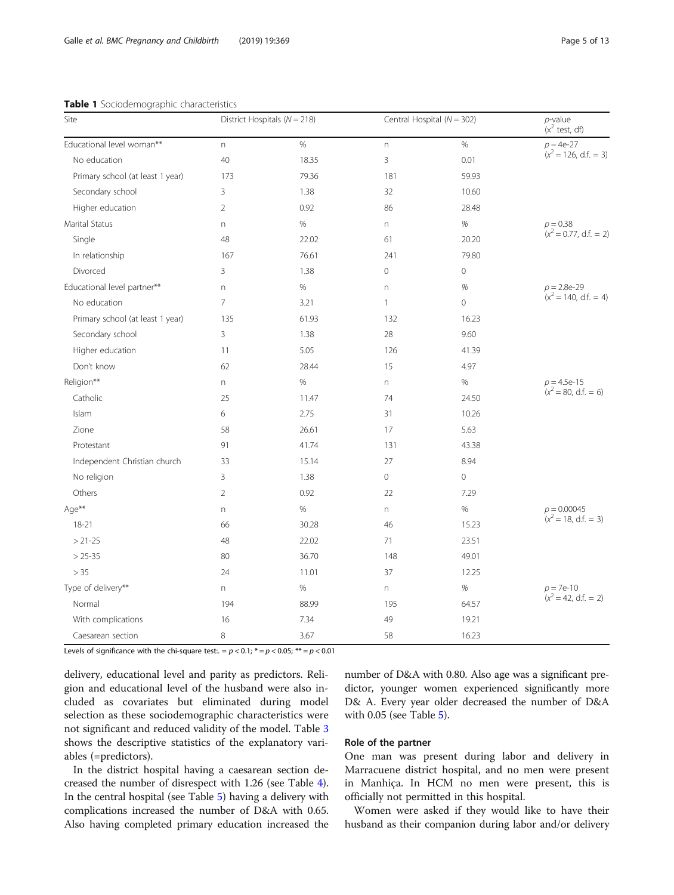#### <span id="page-4-0"></span>Table 1 Sociodemographic characteristics

| Site                             |                | District Hospitals ( $N = 218$ ) |              | Central Hospital ( $N = 302$ ) |                                           |
|----------------------------------|----------------|----------------------------------|--------------|--------------------------------|-------------------------------------------|
| Educational level woman**        | n.             | $\%$                             | $\Gamma$     | $\%$                           | $p = 4e-27$                               |
| No education                     | 40             | 18.35                            | 3            | 0.01                           | $(x^2 = 126, d.f. = 3)$                   |
| Primary school (at least 1 year) | 173            | 79.36                            | 181          | 59.93                          |                                           |
| Secondary school                 | 3              | 1.38                             | 32           | 10.60                          |                                           |
| Higher education                 | $\overline{2}$ | 0.92                             | 86           | 28.48                          |                                           |
| Marital Status                   | n              | $\%$                             | $\mathsf{n}$ | $\%$                           | $p = 0.38$                                |
| Single                           | 48             | 22.02                            | 61           | 20.20                          | $(x^2 = 0.77, d.f. = 2)$                  |
| In relationship                  | 167            | 76.61                            | 241          | 79.80                          |                                           |
| Divorced                         | 3              | 1.38                             | $\mathbb O$  | $\mathbf 0$                    |                                           |
| Educational level partner**      | n              | $\%$                             | $\Gamma$     | $\%$                           | $p = 2.8e-29$                             |
| No education                     | $\overline{7}$ | 3.21                             | $\mathbf{1}$ | $\overline{0}$                 | $(x^2 = 140, d.f. = 4)$                   |
| Primary school (at least 1 year) | 135            | 61.93                            | 132          | 16.23                          |                                           |
| Secondary school                 | 3              | 1.38                             | 28           | 9.60                           |                                           |
| Higher education                 | 11             | 5.05                             | 126          | 41.39                          |                                           |
| Don't know                       | 62             | 28.44                            | 15           | 4.97                           |                                           |
| Religion**                       | n              | $\%$                             | $\Gamma$     | $\%$                           | $p = 4.5e-15$<br>( $x^2 = 80$ , d.f. = 6) |
| Catholic                         | 25             | 11.47                            | 74           | 24.50                          |                                           |
| Islam                            | 6              | 2.75                             | 31           | 10.26                          |                                           |
| Zione                            | 58             | 26.61                            | 17           | 5.63                           |                                           |
| Protestant                       | 91             | 41.74                            | 131          | 43.38                          |                                           |
| Independent Christian church     | 33             | 15.14                            | 27           | 8.94                           |                                           |
| No religion                      | 3              | 1.38                             | $\circ$      | $\circ$                        |                                           |
| Others                           | $\overline{2}$ | 0.92                             | 22           | 7.29                           |                                           |
| Age**                            | n              | $\%$                             | n            | $\%$                           | $p = 0.00045$<br>( $x^2 = 18$ , d.f. = 3) |
| $18 - 21$                        | 66             | 30.28                            | 46           | 15.23                          |                                           |
| $> 21 - 25$                      | 48             | 22.02                            | 71           | 23.51                          |                                           |
| $> 25 - 35$                      | 80             | 36.70                            | 148          | 49.01                          |                                           |
| > 35                             | 24             | 11.01                            | 37           | 12.25                          |                                           |
| Type of delivery**               | n              | $\%$                             | $\Gamma$     | $\%$                           | $p = 7e-10$                               |
| Normal                           | 194            | 88.99                            | 195          | 64.57                          | $(x^2 = 42, d.f. = 2)$                    |
| With complications               | 16             | 7.34                             | 49           | 19.21                          |                                           |
| Caesarean section                | 8              | 3.67                             | 58           | 16.23                          |                                           |

Levels of significance with the chi-square test:.  $= p < 0.1$ ;  $* = p < 0.05$ ;  $** = p < 0.01$ 

delivery, educational level and parity as predictors. Religion and educational level of the husband were also included as covariates but eliminated during model selection as these sociodemographic characteristics were not significant and reduced validity of the model. Table [3](#page-7-0) shows the descriptive statistics of the explanatory variables (=predictors).

In the district hospital having a caesarean section decreased the number of disrespect with 1.26 (see Table [4](#page-8-0)). In the central hospital (see Table [5\)](#page-8-0) having a delivery with complications increased the number of D&A with 0.65. Also having completed primary education increased the number of D&A with 0.80. Also age was a significant predictor, younger women experienced significantly more D& A. Every year older decreased the number of D&A with 0.05 (see Table [5](#page-8-0)).

#### Role of the partner

One man was present during labor and delivery in Marracuene district hospital, and no men were present in Manhiça. In HCM no men were present, this is officially not permitted in this hospital.

Women were asked if they would like to have their husband as their companion during labor and/or delivery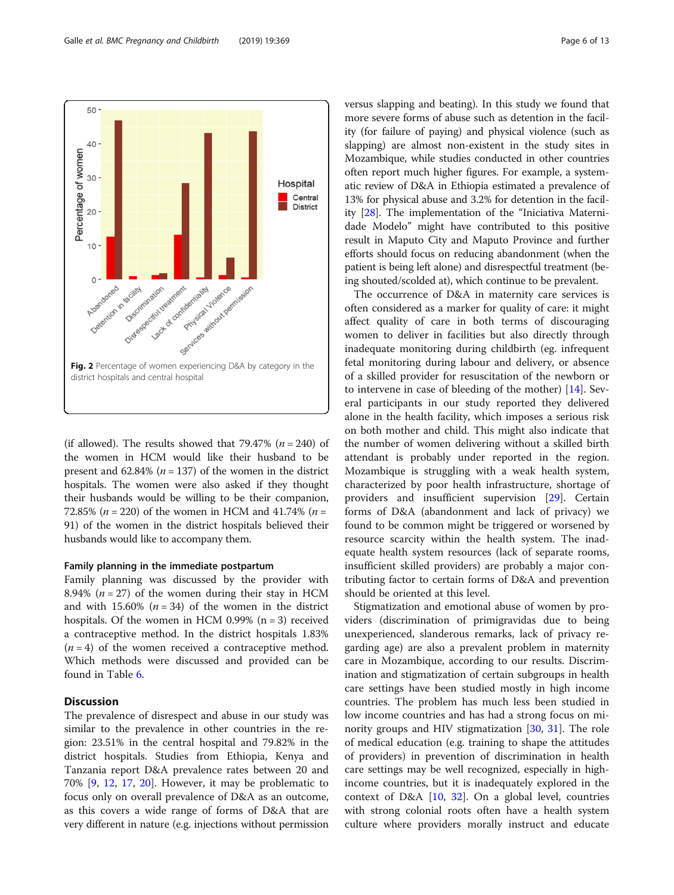<span id="page-5-0"></span>

(if allowed). The results showed that 79.47% ( $n = 240$ ) of the women in HCM would like their husband to be present and 62.84% ( $n = 137$ ) of the women in the district hospitals. The women were also asked if they thought their husbands would be willing to be their companion, 72.85% ( $n = 220$ ) of the women in HCM and 41.74% ( $n =$ 91) of the women in the district hospitals believed their husbands would like to accompany them.

#### Family planning in the immediate postpartum

Family planning was discussed by the provider with 8.94% ( $n = 27$ ) of the women during their stay in HCM and with 15.60%  $(n = 34)$  of the women in the district hospitals. Of the women in HCM 0.99%  $(n = 3)$  received a contraceptive method. In the district hospitals 1.83%  $(n = 4)$  of the women received a contraceptive method. Which methods were discussed and provided can be found in Table [6](#page-9-0).

#### **Discussion**

The prevalence of disrespect and abuse in our study was similar to the prevalence in other countries in the region: 23.51% in the central hospital and 79.82% in the district hospitals. Studies from Ethiopia, Kenya and Tanzania report D&A prevalence rates between 20 and 70% [[9](#page-11-0), [12](#page-11-0), [17](#page-11-0), [20](#page-11-0)]. However, it may be problematic to focus only on overall prevalence of D&A as an outcome, as this covers a wide range of forms of D&A that are very different in nature (e.g. injections without permission versus slapping and beating). In this study we found that more severe forms of abuse such as detention in the facility (for failure of paying) and physical violence (such as slapping) are almost non-existent in the study sites in Mozambique, while studies conducted in other countries often report much higher figures. For example, a systematic review of D&A in Ethiopia estimated a prevalence of 13% for physical abuse and 3.2% for detention in the facility [\[28\]](#page-11-0). The implementation of the "Iniciativa Maternidade Modelo" might have contributed to this positive result in Maputo City and Maputo Province and further efforts should focus on reducing abandonment (when the patient is being left alone) and disrespectful treatment (being shouted/scolded at), which continue to be prevalent.

The occurrence of D&A in maternity care services is often considered as a marker for quality of care: it might affect quality of care in both terms of discouraging women to deliver in facilities but also directly through inadequate monitoring during childbirth (eg. infrequent fetal monitoring during labour and delivery, or absence of a skilled provider for resuscitation of the newborn or to intervene in case of bleeding of the mother) [[14\]](#page-11-0). Several participants in our study reported they delivered alone in the health facility, which imposes a serious risk on both mother and child. This might also indicate that the number of women delivering without a skilled birth attendant is probably under reported in the region. Mozambique is struggling with a weak health system, characterized by poor health infrastructure, shortage of providers and insufficient supervision [\[29\]](#page-11-0). Certain forms of D&A (abandonment and lack of privacy) we found to be common might be triggered or worsened by resource scarcity within the health system. The inadequate health system resources (lack of separate rooms, insufficient skilled providers) are probably a major contributing factor to certain forms of D&A and prevention should be oriented at this level.

Stigmatization and emotional abuse of women by providers (discrimination of primigravidas due to being unexperienced, slanderous remarks, lack of privacy regarding age) are also a prevalent problem in maternity care in Mozambique, according to our results. Discrimination and stigmatization of certain subgroups in health care settings have been studied mostly in high income countries. The problem has much less been studied in low income countries and has had a strong focus on minority groups and HIV stigmatization [\[30](#page-11-0), [31\]](#page-11-0). The role of medical education (e.g. training to shape the attitudes of providers) in prevention of discrimination in health care settings may be well recognized, especially in highincome countries, but it is inadequately explored in the context of D&A [\[10,](#page-11-0) [32\]](#page-11-0). On a global level, countries with strong colonial roots often have a health system culture where providers morally instruct and educate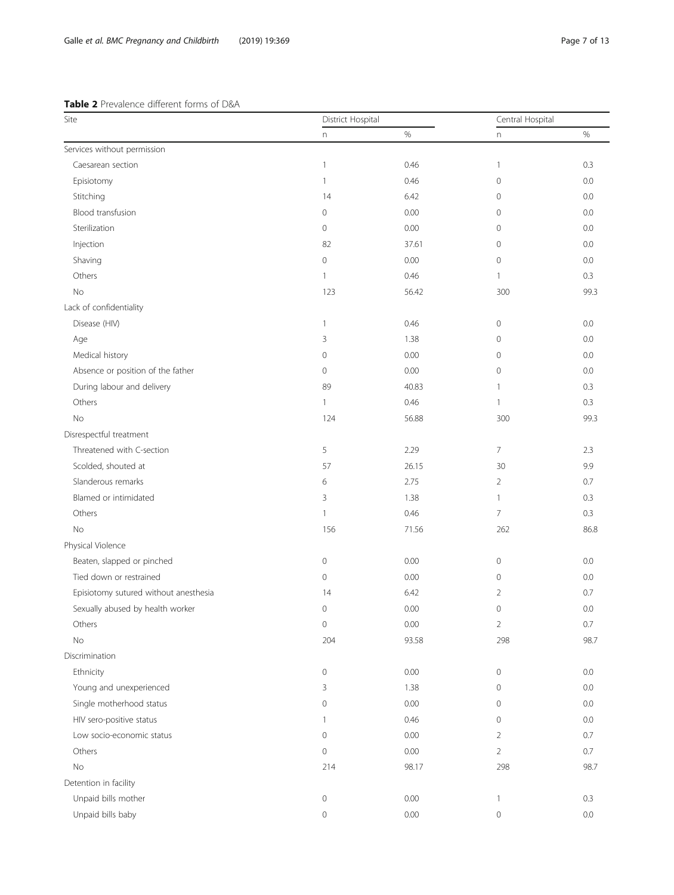# <span id="page-6-0"></span>Table 2 Prevalence different forms of D&A

| Site                                  | District Hospital   |       | Central Hospital          |         |
|---------------------------------------|---------------------|-------|---------------------------|---------|
|                                       | $\mathsf{n}$        | $\%$  | $\boldsymbol{\mathsf{n}}$ | $\%$    |
| Services without permission           |                     |       |                           |         |
| Caesarean section                     | $\mathbf{1}$        | 0.46  | $\mathbf{1}$              | 0.3     |
| Episiotomy                            | 1                   | 0.46  | 0                         | 0.0     |
| Stitching                             | 14                  | 6.42  | $\mathbf{0}$              | 0.0     |
| Blood transfusion                     | $\mathbf 0$         | 0.00  | 0                         | 0.0     |
| Sterilization                         | 0                   | 0.00  | $\mathbf 0$               | 0.0     |
| Injection                             | 82                  | 37.61 | $\mathbf 0$               | 0.0     |
| Shaving                               | $\mathbf 0$         | 0.00  | 0                         | 0.0     |
| Others                                | 1                   | 0.46  | $\mathbf{1}$              | 0.3     |
| No                                    | 123                 | 56.42 | 300                       | 99.3    |
| Lack of confidentiality               |                     |       |                           |         |
| Disease (HIV)                         | $\mathbf{1}$        | 0.46  | $\mathbf 0$               | 0.0     |
| Age                                   | 3                   | 1.38  | 0                         | 0.0     |
| Medical history                       | $\mathbf 0$         | 0.00  | $\mathbf 0$               | 0.0     |
| Absence or position of the father     | 0                   | 0.00  | $\mathbf 0$               | 0.0     |
| During labour and delivery            | 89                  | 40.83 | 1                         | 0.3     |
| Others                                | $\mathbf{1}$        | 0.46  | $\mathbf{1}$              | 0.3     |
| No                                    | 124                 | 56.88 | 300                       | 99.3    |
| Disrespectful treatment               |                     |       |                           |         |
| Threatened with C-section             | 5                   | 2.29  | $\overline{7}$            | 2.3     |
| Scolded, shouted at                   | 57                  | 26.15 | 30                        | 9.9     |
| Slanderous remarks                    | 6                   | 2.75  | 2                         | 0.7     |
| Blamed or intimidated                 | 3                   | 1.38  | $\mathbf{1}$              | 0.3     |
| Others                                | $\mathbf{1}$        | 0.46  | $\overline{7}$            | 0.3     |
| No                                    | 156                 | 71.56 | 262                       | 86.8    |
| Physical Violence                     |                     |       |                           |         |
| Beaten, slapped or pinched            | $\mathsf{O}\xspace$ | 0.00  | $\mathbf 0$               | 0.0     |
| Tied down or restrained               | $\mathsf{O}\xspace$ | 0.00  | $\mathbf 0$               | 0.0     |
| Episiotomy sutured without anesthesia | 14                  | 6.42  | $\overline{2}$            | 0.7     |
| Sexually abused by health worker      | $\mathbf 0$         | 0.00  | $\mathbf 0$               | 0.0     |
| Others                                | $\mathsf{O}\xspace$ | 0.00  | $\overline{2}$            | 0.7     |
| <b>No</b>                             | 204                 | 93.58 | 298                       | 98.7    |
| Discrimination                        |                     |       |                           |         |
| Ethnicity                             | $\mathsf{O}\xspace$ | 0.00  | $\mathbf 0$               | $0.0\,$ |
| Young and unexperienced               | 3                   | 1.38  | $\mathbf 0$               | 0.0     |
| Single motherhood status              | $\mathsf{O}\xspace$ | 0.00  | $\mathbf 0$               | 0.0     |
| HIV sero-positive status              | $\mathbf{1}$        | 0.46  | $\mathbf 0$               | $0.0\,$ |
| Low socio-economic status             | $\mathbf 0$         | 0.00  | $\overline{2}$            | 0.7     |
| Others                                | $\mathsf{O}\xspace$ | 0.00  | $\overline{2}$            | 0.7     |
| No                                    | 214                 | 98.17 | 298                       | 98.7    |
| Detention in facility                 |                     |       |                           |         |
| Unpaid bills mother                   | $\mathsf{O}\xspace$ | 0.00  | $\mathbf{1}$              | 0.3     |
| Unpaid bills baby                     | $\mathsf{O}\xspace$ | 0.00  | $\mathbf 0$               | 0.0     |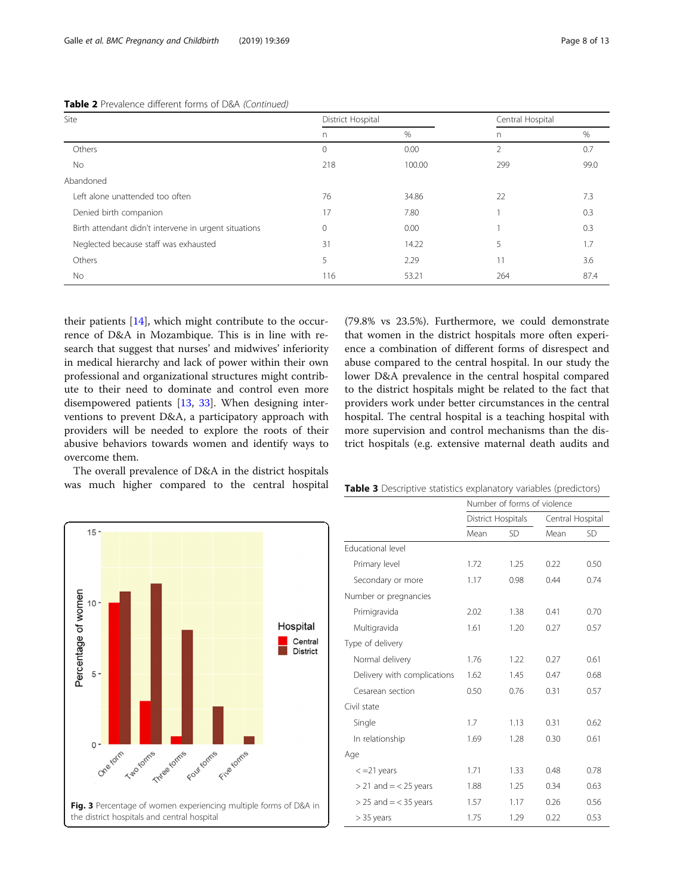| Site                                                  | District Hospital |        | Central Hospital |      |
|-------------------------------------------------------|-------------------|--------|------------------|------|
|                                                       | n                 | %      | n                | %    |
| Others                                                | 0                 | 0.00   | 2                | 0.7  |
| No                                                    | 218               | 100.00 | 299              | 99.0 |
| Abandoned                                             |                   |        |                  |      |
| Left alone unattended too often                       | 76                | 34.86  | 22               | 7.3  |
| Denied birth companion                                | 17                | 7.80   |                  | 0.3  |
| Birth attendant didn't intervene in urgent situations | 0                 | 0.00   |                  | 0.3  |
| Neglected because staff was exhausted                 | 31                | 14.22  | 5                | 1.7  |
| Others                                                | 5                 | 2.29   | 11               | 3.6  |
| No.                                                   | 116               | 53.21  | 264              | 87.4 |

#### <span id="page-7-0"></span>Table 2 Prevalence different forms of D&A (Continued)

their patients [[14](#page-11-0)], which might contribute to the occurrence of D&A in Mozambique. This is in line with research that suggest that nurses' and midwives' inferiority in medical hierarchy and lack of power within their own professional and organizational structures might contribute to their need to dominate and control even more disempowered patients [[13](#page-11-0), [33\]](#page-11-0). When designing interventions to prevent D&A, a participatory approach with providers will be needed to explore the roots of their abusive behaviors towards women and identify ways to overcome them.

The overall prevalence of D&A in the district hospitals was much higher compared to the central hospital

(79.8% vs 23.5%). Furthermore, we could demonstrate that women in the district hospitals more often experience a combination of different forms of disrespect and abuse compared to the central hospital. In our study the lower D&A prevalence in the central hospital compared to the district hospitals might be related to the fact that providers work under better circumstances in the central hospital. The central hospital is a teaching hospital with more supervision and control mechanisms than the district hospitals (e.g. extensive maternal death audits and



|  |  |  |  |  |  | <b>Table 3</b> Descriptive statistics explanatory variables (predictors) |
|--|--|--|--|--|--|--------------------------------------------------------------------------|
|--|--|--|--|--|--|--------------------------------------------------------------------------|

|                             | Number of forms of violence |      |                  |           |  |
|-----------------------------|-----------------------------|------|------------------|-----------|--|
|                             | District Hospitals          |      | Central Hospital |           |  |
|                             | Mean                        | SD   | Mean             | <b>SD</b> |  |
| <b>Educational level</b>    |                             |      |                  |           |  |
| Primary level               | 1.72                        | 1.25 | 0.22             | 0.50      |  |
| Secondary or more           | 1.17                        | 0.98 | 0.44             | 0.74      |  |
| Number or pregnancies       |                             |      |                  |           |  |
| Primigravida                | 2.02                        | 1.38 | 0.41             | 0.70      |  |
| Multigravida                | 1.61                        | 1.20 | 0.27             | 0.57      |  |
| Type of delivery            |                             |      |                  |           |  |
| Normal delivery             | 1.76                        | 1.22 | 0.27             | 0.61      |  |
| Delivery with complications | 1.62                        | 1.45 | 0.47             | 0.68      |  |
| Cesarean section            | 0.50                        | 0.76 | 0.31             | 0.57      |  |
| Civil state                 |                             |      |                  |           |  |
| Single                      | 1.7                         | 1.13 | 0.31             | 0.62      |  |
| In relationship             | 1.69                        | 1.28 | 0.30             | 0.61      |  |
| Age                         |                             |      |                  |           |  |
| $\epsilon$ =21 years        | 1.71                        | 1.33 | 0.48             | 0.78      |  |
| $>$ 21 and = < 25 years     | 1.88                        | 1.25 | 0.34             | 0.63      |  |
| $>$ 25 and = < 35 years     | 1.57                        | 1.17 | 0.26             | 0.56      |  |
| $>$ 35 years                | 1.75                        | 1.29 | 0.22             | 0.53      |  |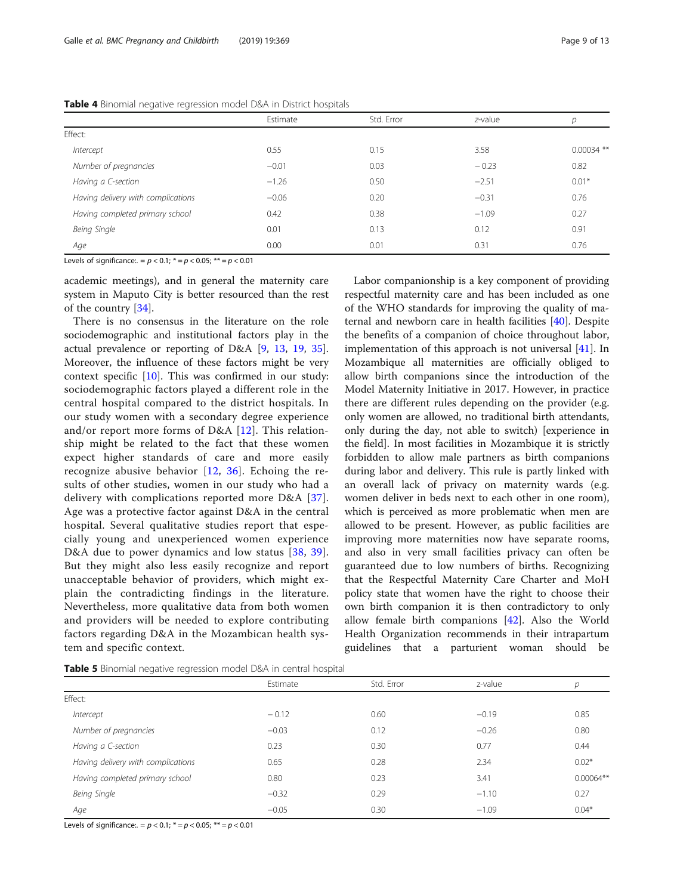|                                    | Estimate | Std. Error | z-value | р            |
|------------------------------------|----------|------------|---------|--------------|
| Effect:                            |          |            |         |              |
| Intercept                          | 0.55     | 0.15       | 3.58    | $0.00034$ ** |
| Number of pregnancies              | $-0.01$  | 0.03       | $-0.23$ | 0.82         |
| Having a C-section                 | $-1.26$  | 0.50       | $-2.51$ | $0.01*$      |
| Having delivery with complications | $-0.06$  | 0.20       | $-0.31$ | 0.76         |
| Having completed primary school    | 0.42     | 0.38       | $-1.09$ | 0.27         |
| Being Single                       | 0.01     | 0.13       | 0.12    | 0.91         |
| Age                                | 0.00     | 0.01       | 0.31    | 0.76         |

<span id="page-8-0"></span>Table 4 Binomial negative regression model D&A in District hospitals

Levels of significance:. =  $p < 0.1$ ;  $* = p < 0.05$ ;  $** = p < 0.01$ 

academic meetings), and in general the maternity care system in Maputo City is better resourced than the rest of the country [\[34\]](#page-11-0).

There is no consensus in the literature on the role sociodemographic and institutional factors play in the actual prevalence or reporting of D&A [[9,](#page-11-0) [13](#page-11-0), [19,](#page-11-0) [35](#page-11-0)]. Moreover, the influence of these factors might be very context specific [[10\]](#page-11-0). This was confirmed in our study: sociodemographic factors played a different role in the central hospital compared to the district hospitals. In our study women with a secondary degree experience and/or report more forms of D&A [\[12\]](#page-11-0). This relationship might be related to the fact that these women expect higher standards of care and more easily recognize abusive behavior [[12](#page-11-0), [36\]](#page-11-0). Echoing the results of other studies, women in our study who had a delivery with complications reported more D&A [[37](#page-11-0)]. Age was a protective factor against D&A in the central hospital. Several qualitative studies report that especially young and unexperienced women experience D&A due to power dynamics and low status [\[38,](#page-11-0) [39](#page-11-0)]. But they might also less easily recognize and report unacceptable behavior of providers, which might explain the contradicting findings in the literature. Nevertheless, more qualitative data from both women and providers will be needed to explore contributing factors regarding D&A in the Mozambican health system and specific context.

Labor companionship is a key component of providing respectful maternity care and has been included as one of the WHO standards for improving the quality of maternal and newborn care in health facilities [\[40](#page-11-0)]. Despite the benefits of a companion of choice throughout labor, implementation of this approach is not universal [[41](#page-11-0)]. In Mozambique all maternities are officially obliged to allow birth companions since the introduction of the Model Maternity Initiative in 2017. However, in practice there are different rules depending on the provider (e.g. only women are allowed, no traditional birth attendants, only during the day, not able to switch) [experience in the field]. In most facilities in Mozambique it is strictly forbidden to allow male partners as birth companions during labor and delivery. This rule is partly linked with an overall lack of privacy on maternity wards (e.g. women deliver in beds next to each other in one room), which is perceived as more problematic when men are allowed to be present. However, as public facilities are improving more maternities now have separate rooms, and also in very small facilities privacy can often be guaranteed due to low numbers of births. Recognizing that the Respectful Maternity Care Charter and MoH policy state that women have the right to choose their own birth companion it is then contradictory to only allow female birth companions [\[42](#page-11-0)]. Also the World Health Organization recommends in their intrapartum guidelines that a parturient woman should be

| Table 5 Binomial negative regression model D&A in central hospital |  |
|--------------------------------------------------------------------|--|
|--------------------------------------------------------------------|--|

|                                    | Estimate | Std. Error | z-value | р           |
|------------------------------------|----------|------------|---------|-------------|
| Effect:                            |          |            |         |             |
| Intercept                          | $-0.12$  | 0.60       | $-0.19$ | 0.85        |
| Number of pregnancies              | $-0.03$  | 0.12       | $-0.26$ | 0.80        |
| Having a C-section                 | 0.23     | 0.30       | 0.77    | 0.44        |
| Having delivery with complications | 0.65     | 0.28       | 2.34    | $0.02*$     |
| Having completed primary school    | 0.80     | 0.23       | 3.41    | $0.00064**$ |
| Being Single                       | $-0.32$  | 0.29       | $-1.10$ | 0.27        |
| Age                                | $-0.05$  | 0.30       | $-1.09$ | $0.04*$     |

Levels of significance:. =  $p < 0.1$ ;  $* = p < 0.05$ ;  $** = p < 0.01$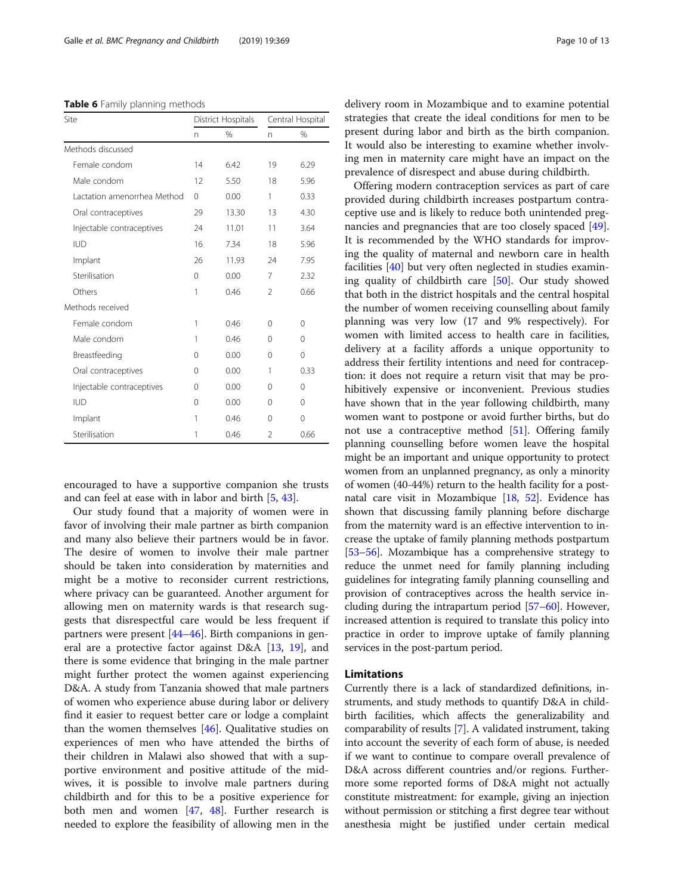<span id="page-9-0"></span>Table 6 Family planning methods

| Site                        | District Hospitals |       | Central Hospital |             |
|-----------------------------|--------------------|-------|------------------|-------------|
|                             | n.                 | $\%$  | n                | $\%$        |
| Methods discussed           |                    |       |                  |             |
| Female condom               | 14                 | 6.42  | 19               | 6.29        |
| Male condom                 | 12                 | 5.50  | 18               | 5.96        |
| Lactation amenorrhea Method | $\Omega$           | 0.00  | 1                | 0.33        |
| Oral contraceptives         | 29                 | 13.30 | 13               | 4.30        |
| Injectable contraceptives   | 24                 | 11.01 | 11               | 3.64        |
| <b>IUD</b>                  | 16                 | 7.34  | 18               | 5.96        |
| Implant                     | 26                 | 11.93 | 24               | 7.95        |
| Sterilisation               | $\Omega$           | 0.00  | 7                | 2.32        |
| Others                      | 1                  | 0.46  | $\mathfrak{D}$   | 0.66        |
| Methods received            |                    |       |                  |             |
| Female condom               | 1                  | 0.46  | $\Omega$         | $\Omega$    |
| Male condom                 | 1                  | 0.46  | 0                | 0           |
| Breastfeeding               | $\Omega$           | 0.00  | 0                | $\Omega$    |
| Oral contraceptives         | $\Omega$           | 0.00  | 1                | 0.33        |
| Injectable contraceptives   | $\Omega$           | 0.00  | 0                | $\Omega$    |
| <b>IUD</b>                  | $\Omega$           | 0.00  | 0                | $\Omega$    |
| Implant                     | 1                  | 0.46  | 0                | $\mathbf 0$ |
| Sterilisation               | 1                  | 0.46  | $\mathfrak{D}$   | 0.66        |

encouraged to have a supportive companion she trusts and can feel at ease with in labor and birth [[5,](#page-11-0) [43\]](#page-11-0).

Our study found that a majority of women were in favor of involving their male partner as birth companion and many also believe their partners would be in favor. The desire of women to involve their male partner should be taken into consideration by maternities and might be a motive to reconsider current restrictions, where privacy can be guaranteed. Another argument for allowing men on maternity wards is that research suggests that disrespectful care would be less frequent if partners were present [[44](#page-11-0)–[46](#page-12-0)]. Birth companions in general are a protective factor against D&A [[13,](#page-11-0) [19](#page-11-0)], and there is some evidence that bringing in the male partner might further protect the women against experiencing D&A. A study from Tanzania showed that male partners of women who experience abuse during labor or delivery find it easier to request better care or lodge a complaint than the women themselves [[46](#page-12-0)]. Qualitative studies on experiences of men who have attended the births of their children in Malawi also showed that with a supportive environment and positive attitude of the midwives, it is possible to involve male partners during childbirth and for this to be a positive experience for both men and women [[47,](#page-12-0) [48](#page-12-0)]. Further research is needed to explore the feasibility of allowing men in the

delivery room in Mozambique and to examine potential strategies that create the ideal conditions for men to be present during labor and birth as the birth companion. It would also be interesting to examine whether involving men in maternity care might have an impact on the prevalence of disrespect and abuse during childbirth.

Offering modern contraception services as part of care provided during childbirth increases postpartum contraceptive use and is likely to reduce both unintended pregnancies and pregnancies that are too closely spaced [\[49](#page-12-0)]. It is recommended by the WHO standards for improving the quality of maternal and newborn care in health facilities [\[40](#page-11-0)] but very often neglected in studies examining quality of childbirth care [[50\]](#page-12-0). Our study showed that both in the district hospitals and the central hospital the number of women receiving counselling about family planning was very low (17 and 9% respectively). For women with limited access to health care in facilities, delivery at a facility affords a unique opportunity to address their fertility intentions and need for contraception: it does not require a return visit that may be prohibitively expensive or inconvenient. Previous studies have shown that in the year following childbirth, many women want to postpone or avoid further births, but do not use a contraceptive method [\[51](#page-12-0)]. Offering family planning counselling before women leave the hospital might be an important and unique opportunity to protect women from an unplanned pregnancy, as only a minority of women (40-44%) return to the health facility for a postnatal care visit in Mozambique [\[18,](#page-11-0) [52\]](#page-12-0). Evidence has shown that discussing family planning before discharge from the maternity ward is an effective intervention to increase the uptake of family planning methods postpartum [[53](#page-12-0)–[56\]](#page-12-0). Mozambique has a comprehensive strategy to reduce the unmet need for family planning including guidelines for integrating family planning counselling and provision of contraceptives across the health service including during the intrapartum period [\[57](#page-12-0)–[60](#page-12-0)]. However, increased attention is required to translate this policy into practice in order to improve uptake of family planning services in the post-partum period.

#### Limitations

Currently there is a lack of standardized definitions, instruments, and study methods to quantify D&A in childbirth facilities, which affects the generalizability and comparability of results [\[7](#page-11-0)]. A validated instrument, taking into account the severity of each form of abuse, is needed if we want to continue to compare overall prevalence of D&A across different countries and/or regions. Furthermore some reported forms of D&A might not actually constitute mistreatment: for example, giving an injection without permission or stitching a first degree tear without anesthesia might be justified under certain medical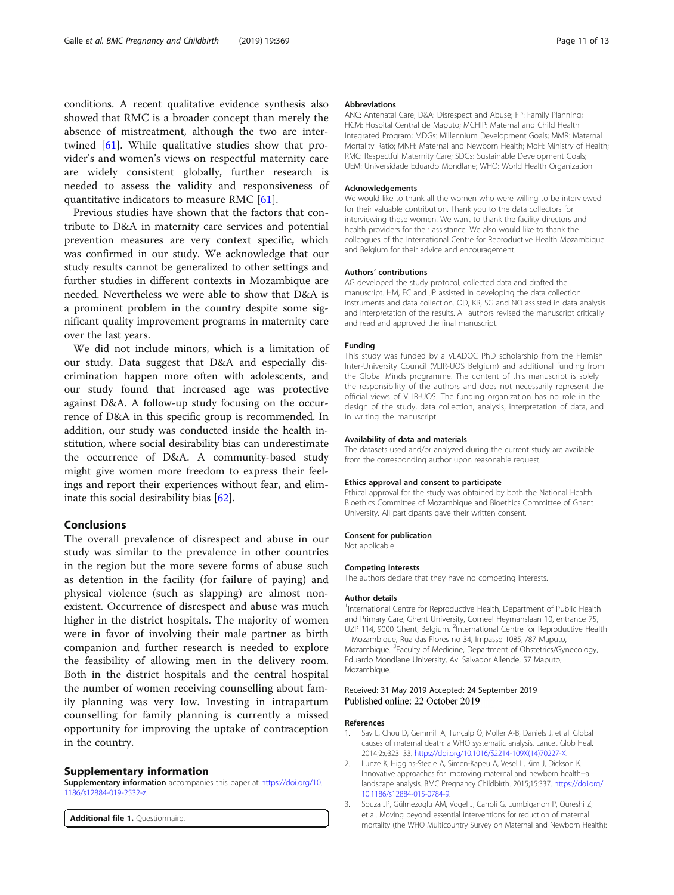<span id="page-10-0"></span>conditions. A recent qualitative evidence synthesis also showed that RMC is a broader concept than merely the absence of mistreatment, although the two are intertwined [[61\]](#page-12-0). While qualitative studies show that provider's and women's views on respectful maternity care are widely consistent globally, further research is needed to assess the validity and responsiveness of quantitative indicators to measure RMC [[61](#page-12-0)].

Previous studies have shown that the factors that contribute to D&A in maternity care services and potential prevention measures are very context specific, which was confirmed in our study. We acknowledge that our study results cannot be generalized to other settings and further studies in different contexts in Mozambique are needed. Nevertheless we were able to show that D&A is a prominent problem in the country despite some significant quality improvement programs in maternity care over the last years.

We did not include minors, which is a limitation of our study. Data suggest that D&A and especially discrimination happen more often with adolescents, and our study found that increased age was protective against D&A. A follow-up study focusing on the occurrence of D&A in this specific group is recommended. In addition, our study was conducted inside the health institution, where social desirability bias can underestimate the occurrence of D&A. A community-based study might give women more freedom to express their feelings and report their experiences without fear, and eliminate this social desirability bias [\[62](#page-12-0)].

#### Conclusions

The overall prevalence of disrespect and abuse in our study was similar to the prevalence in other countries in the region but the more severe forms of abuse such as detention in the facility (for failure of paying) and physical violence (such as slapping) are almost nonexistent. Occurrence of disrespect and abuse was much higher in the district hospitals. The majority of women were in favor of involving their male partner as birth companion and further research is needed to explore the feasibility of allowing men in the delivery room. Both in the district hospitals and the central hospital the number of women receiving counselling about family planning was very low. Investing in intrapartum counselling for family planning is currently a missed opportunity for improving the uptake of contraception in the country.

#### Supplementary information

Supplementary information accompanies this paper at [https://doi.org/10.](https://doi.org/10.1186/s12884-019-2532-z) [1186/s12884-019-2532-z](https://doi.org/10.1186/s12884-019-2532-z).

Additional file 1. Questionnaire.

#### Abbreviations

ANC: Antenatal Care; D&A: Disrespect and Abuse; FP: Family Planning; HCM: Hospital Central de Maputo; MCHIP: Maternal and Child Health Integrated Program; MDGs: Millennium Development Goals; MMR: Maternal Mortality Ratio; MNH: Maternal and Newborn Health; MoH: Ministry of Health; RMC: Respectful Maternity Care; SDGs: Sustainable Development Goals; UEM: Universidade Eduardo Mondlane; WHO: World Health Organization

#### Acknowledgements

We would like to thank all the women who were willing to be interviewed for their valuable contribution. Thank you to the data collectors for interviewing these women. We want to thank the facility directors and health providers for their assistance. We also would like to thank the colleagues of the International Centre for Reproductive Health Mozambique and Belgium for their advice and encouragement.

#### Authors' contributions

AG developed the study protocol, collected data and drafted the manuscript. HM, EC and JP assisted in developing the data collection instruments and data collection. OD, KR, SG and NO assisted in data analysis and interpretation of the results. All authors revised the manuscript critically and read and approved the final manuscript.

#### Funding

This study was funded by a VLADOC PhD scholarship from the Flemish Inter-University Council (VLIR-UOS Belgium) and additional funding from the Global Minds programme. The content of this manuscript is solely the responsibility of the authors and does not necessarily represent the official views of VLIR-UOS. The funding organization has no role in the design of the study, data collection, analysis, interpretation of data, and in writing the manuscript.

#### Availability of data and materials

The datasets used and/or analyzed during the current study are available from the corresponding author upon reasonable request.

#### Ethics approval and consent to participate

Ethical approval for the study was obtained by both the National Health Bioethics Committee of Mozambique and Bioethics Committee of Ghent University. All participants gave their written consent.

#### Consent for publication

Not applicable

#### Competing interests

The authors declare that they have no competing interests.

#### Author details

<sup>1</sup>International Centre for Reproductive Health, Department of Public Health and Primary Care, Ghent University, Corneel Heymanslaan 10, entrance 75, UZP 114, 9000 Ghent, Belgium. <sup>2</sup>International Centre for Reproductive Health – Mozambique, Rua das Flores no 34, Impasse 1085, /87 Maputo, Mozambique. <sup>3</sup>Faculty of Medicine, Department of Obstetrics/Gynecology Eduardo Mondlane University, Av. Salvador Allende, 57 Maputo, Mozambique.

#### Received: 31 May 2019 Accepted: 24 September 2019 Published online: 22 October 2019

#### References

- 1. Say L, Chou D, Gemmill A, Tunçalp Ö, Moller A-B, Daniels J, et al. Global causes of maternal death: a WHO systematic analysis. Lancet Glob Heal. 2014;2:e323–33. [https://doi.org/10.1016/S2214-109X\(14\)70227-X](https://doi.org/10.1016/S2214-109X(14)70227-X).
- 2. Lunze K, Higgins-Steele A, Simen-Kapeu A, Vesel L, Kim J, Dickson K. Innovative approaches for improving maternal and newborn health--a landscape analysis. BMC Pregnancy Childbirth. 2015;15:337. [https://doi.org/](https://doi.org/10.1186/s12884-015-0784-9) [10.1186/s12884-015-0784-9](https://doi.org/10.1186/s12884-015-0784-9).
- 3. Souza JP, Gülmezoglu AM, Vogel J, Carroli G, Lumbiganon P, Qureshi Z, et al. Moving beyond essential interventions for reduction of maternal mortality (the WHO Multicountry Survey on Maternal and Newborn Health):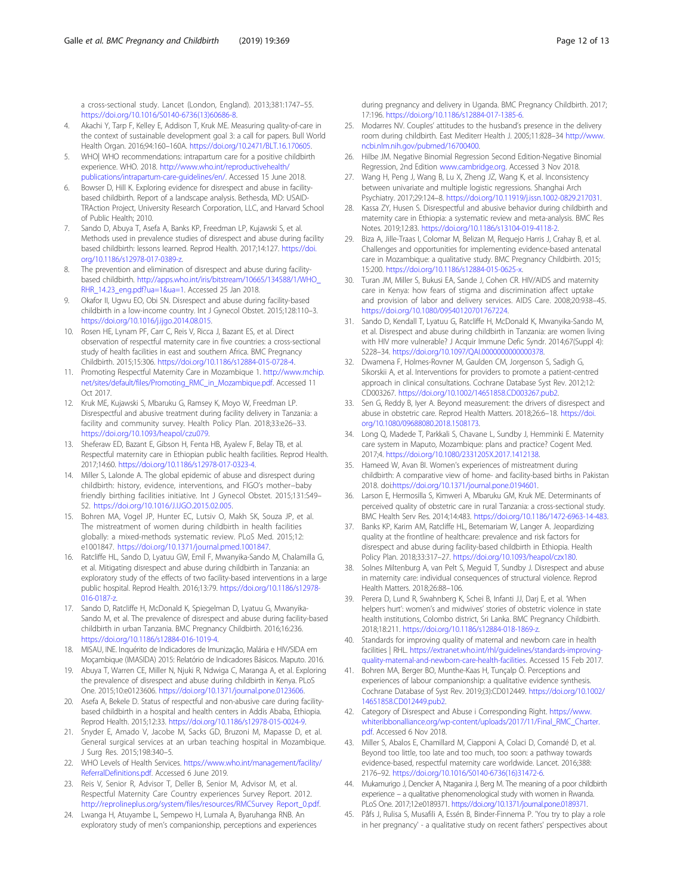<span id="page-11-0"></span>a cross-sectional study. Lancet (London, England). 2013;381:1747–55. [https://doi.org/10.1016/S0140-6736\(13\)60686-8.](https://doi.org/10.1016/S0140-6736(13)60686-8)

- 4. Akachi Y, Tarp F, Kelley E, Addison T, Kruk ME. Measuring quality-of-care in the context of sustainable development goal 3: a call for papers. Bull World Health Organ. 2016;94:160–160A. [https://doi.org/10.2471/BLT.16.170605.](https://doi.org/10.2471/BLT.16.170605)
- 5. WHO| WHO recommendations: intrapartum care for a positive childbirth experience. WHO. 2018. [http://www.who.int/reproductivehealth/](http://www.who.int/reproductivehealth/publications/intrapartum-care-guidelines/en/) [publications/intrapartum-care-guidelines/en/](http://www.who.int/reproductivehealth/publications/intrapartum-care-guidelines/en/). Accessed 15 June 2018.
- 6. Bowser D, Hill K. Exploring evidence for disrespect and abuse in facilitybased childbirth. Report of a landscape analysis. Bethesda, MD: USAID-TRAction Project, University Research Corporation, LLC, and Harvard School of Public Health; 2010.
- 7. Sando D, Abuya T, Asefa A, Banks KP, Freedman LP, Kujawski S, et al. Methods used in prevalence studies of disrespect and abuse during facility based childbirth: lessons learned. Reprod Health. 2017;14:127. [https://doi.](https://doi.org/10.1186/s12978-017-0389-z) [org/10.1186/s12978-017-0389-z.](https://doi.org/10.1186/s12978-017-0389-z)
- 8. The prevention and elimination of disrespect and abuse during facilitybased childbirth. [http://apps.who.int/iris/bitstream/10665/134588/1/WHO\\_](http://apps.who.int/iris/bitstream/10665/134588/1/WHO_RHR_14.23_eng.pdf?ua=1&ua=1) [RHR\\_14.23\\_eng.pdf?ua=1&ua=1.](http://apps.who.int/iris/bitstream/10665/134588/1/WHO_RHR_14.23_eng.pdf?ua=1&ua=1) Accessed 25 Jan 2018.
- 9. Okafor II, Ugwu EO, Obi SN. Disrespect and abuse during facility-based childbirth in a low-income country. Int J Gynecol Obstet. 2015;128:110–3. <https://doi.org/10.1016/j.ijgo.2014.08.015>.
- 10. Rosen HE, Lynam PF, Carr C, Reis V, Ricca J, Bazant ES, et al. Direct observation of respectful maternity care in five countries: a cross-sectional study of health facilities in east and southern Africa. BMC Pregnancy Childbirth. 2015;15:306. [https://doi.org/10.1186/s12884-015-0728-4.](https://doi.org/10.1186/s12884-015-0728-4)
- 11. Promoting Respectful Maternity Care in Mozambique 1. [http://www.mchip.](http://www.mchip.net/sites/default/files/Promoting_RMC_in_Mozambique.pdf) [net/sites/default/files/Promoting\\_RMC\\_in\\_Mozambique.pdf](http://www.mchip.net/sites/default/files/Promoting_RMC_in_Mozambique.pdf). Accessed 11 Oct 2017.
- 12. Kruk ME, Kujawski S, Mbaruku G, Ramsey K, Moyo W, Freedman LP. Disrespectful and abusive treatment during facility delivery in Tanzania: a facility and community survey. Health Policy Plan. 2018;33:e26–33. <https://doi.org/10.1093/heapol/czu079>.
- 13. Sheferaw ED, Bazant E, Gibson H, Fenta HB, Ayalew F, Belay TB, et al. Respectful maternity care in Ethiopian public health facilities. Reprod Health. 2017;14:60. <https://doi.org/10.1186/s12978-017-0323-4>.
- 14. Miller S, Lalonde A. The global epidemic of abuse and disrespect during childbirth: history, evidence, interventions, and FIGO's mother−baby friendly birthing facilities initiative. Int J Gynecol Obstet. 2015;131:S49– 52. [https://doi.org/10.1016/J.IJGO.2015.02.005.](https://doi.org/10.1016/J.IJGO.2015.02.005)
- 15. Bohren MA, Vogel JP, Hunter EC, Lutsiv O, Makh SK, Souza JP, et al. The mistreatment of women during childbirth in health facilities globally: a mixed-methods systematic review. PLoS Med. 2015;12: e1001847. [https://doi.org/10.1371/journal.pmed.1001847.](https://doi.org/10.1371/journal.pmed.1001847)
- 16. Ratcliffe HL, Sando D, Lyatuu GW, Emil F, Mwanyika-Sando M, Chalamilla G, et al. Mitigating disrespect and abuse during childbirth in Tanzania: an exploratory study of the effects of two facility-based interventions in a large public hospital. Reprod Health. 2016;13:79. [https://doi.org/10.1186/s12978-](https://doi.org/10.1186/s12978-016-0187-z) [016-0187-z.](https://doi.org/10.1186/s12978-016-0187-z)
- 17. Sando D, Ratcliffe H, McDonald K, Spiegelman D, Lyatuu G, Mwanyika-Sando M, et al. The prevalence of disrespect and abuse during facility-based childbirth in urban Tanzania. BMC Pregnancy Childbirth. 2016;16:236. <https://doi.org/10.1186/s12884-016-1019-4>.
- 18. MISAU, INE. Inquérito de Indicadores de Imunização, Malária e HIV/SIDA em Moçambique (IMASIDA) 2015: Relatório de Indicadores Básicos. Maputo. 2016.
- 19. Abuya T, Warren CE, Miller N, Njuki R, Ndwiga C, Maranga A, et al. Exploring the prevalence of disrespect and abuse during childbirth in Kenya. PLoS One. 2015;10:e0123606. <https://doi.org/10.1371/journal.pone.0123606>.
- 20. Asefa A, Bekele D. Status of respectful and non-abusive care during facilitybased childbirth in a hospital and health centers in Addis Ababa, Ethiopia. Reprod Health. 2015;12:33. [https://doi.org/10.1186/s12978-015-0024-9.](https://doi.org/10.1186/s12978-015-0024-9)
- 21. Snyder E, Amado V, Jacobe M, Sacks GD, Bruzoni M, Mapasse D, et al. General surgical services at an urban teaching hospital in Mozambique. J Surg Res. 2015;198:340–5.
- 22. WHO Levels of Health Services. [https://www.who.int/management/facility/](https://www.who.int/management/facility/ReferralDefinitions.pdf) [ReferralDefinitions.pdf.](https://www.who.int/management/facility/ReferralDefinitions.pdf) Accessed 6 June 2019.
- 23. Reis V, Senior R, Advisor T, Deller B, Senior M, Advisor M, et al. Respectful Maternity Care Country experiences Survey Report. 2012. [http://reprolineplus.org/system/files/resources/RMCSurvey Report\\_0.pdf](http://reprolineplus.org/system/files/resources/RMCSurvey%20Report_0.pdf).
- 24. Lwanga H, Atuyambe L, Sempewo H, Lumala A, Byaruhanga RNB. An exploratory study of men's companionship, perceptions and experiences

during pregnancy and delivery in Uganda. BMC Pregnancy Childbirth. 2017; 17:196. [https://doi.org/10.1186/s12884-017-1385-6.](https://doi.org/10.1186/s12884-017-1385-6)

- 25. Modarres NV. Couples' attitudes to the husband's presence in the delivery room during childbirth. East Mediterr Health J. 2005;11:828–34 [http://www.](http://www.ncbi.nlm.nih.gov/pubmed/16700400) [ncbi.nlm.nih.gov/pubmed/16700400](http://www.ncbi.nlm.nih.gov/pubmed/16700400).
- 26. Hilbe JM. Negative Binomial Regression Second Edition-Negative Binomial Regression, 2nd Edition [www.cambridge.org.](https://www.cambridge.org) Accessed 3 Nov 2018.
- 27. Wang H, Peng J, Wang B, Lu X, Zheng JZ, Wang K, et al. Inconsistency between univariate and multiple logistic regressions. Shanghai Arch Psychiatry. 2017;29:124–8. [https://doi.org/10.11919/j.issn.1002-0829.217031.](https://doi.org/10.11919/j.issn.1002-0829.217031)
- 28. Kassa ZY, Husen S. Disrespectful and abusive behavior during childbirth and maternity care in Ethiopia: a systematic review and meta-analysis. BMC Res Notes. 2019;12:83. [https://doi.org/10.1186/s13104-019-4118-2.](https://doi.org/10.1186/s13104-019-4118-2)
- 29. Biza A, Jille-Traas I, Colomar M, Belizan M, Requejo Harris J, Crahay B, et al. Challenges and opportunities for implementing evidence-based antenatal care in Mozambique: a qualitative study. BMC Pregnancy Childbirth. 2015; 15:200. <https://doi.org/10.1186/s12884-015-0625-x>.
- 30. Turan JM, Miller S, Bukusi EA, Sande J, Cohen CR. HIV/AIDS and maternity care in Kenya: how fears of stigma and discrimination affect uptake and provision of labor and delivery services. AIDS Care. 2008;20:938–45. [https://doi.org/10.1080/09540120701767224.](https://doi.org/10.1080/09540120701767224)
- 31. Sando D, Kendall T, Lyatuu G, Ratcliffe H, McDonald K, Mwanyika-Sando M, et al. Disrespect and abuse during childbirth in Tanzania: are women living with HIV more vulnerable? J Acquir Immune Defic Syndr. 2014;67(Suppl 4): S228–34. <https://doi.org/10.1097/QAI.0000000000000378>.
- 32. Dwamena F, Holmes-Rovner M, Gaulden CM, Jorgenson S, Sadigh G, Sikorskii A, et al. Interventions for providers to promote a patient-centred approach in clinical consultations. Cochrane Database Syst Rev. 2012;12: CD003267. [https://doi.org/10.1002/14651858.CD003267.pub2.](https://doi.org/10.1002/14651858.CD003267.pub2)
- 33. Sen G, Reddy B, Iyer A. Beyond measurement: the drivers of disrespect and abuse in obstetric care. Reprod Health Matters. 2018;26:6–18. [https://doi.](https://doi.org/10.1080/09688080.2018.1508173) [org/10.1080/09688080.2018.1508173](https://doi.org/10.1080/09688080.2018.1508173).
- 34. Long Q, Madede T, Parkkali S, Chavane L, Sundby J, Hemminki E. Maternity care system in Maputo, Mozambique: plans and practice? Cogent Med. 2017;4. <https://doi.org/10.1080/2331205X.2017.1412138>.
- 35. Hameed W, Avan BI. Women's experiences of mistreatment during childbirth: A comparative view of home- and facility-based births in Pakistan 2018. doi[:https://doi.org/10.1371/journal.pone.0194601.](https://doi.org/10.1371/journal.pone.0194601)
- 36. Larson E, Hermosilla S, Kimweri A, Mbaruku GM, Kruk ME. Determinants of perceived quality of obstetric care in rural Tanzania: a cross-sectional study. BMC Health Serv Res. 2014;14:483. [https://doi.org/10.1186/1472-6963-14-483.](https://doi.org/10.1186/1472-6963-14-483)
- 37. Banks KP, Karim AM, Ratcliffe HL, Betemariam W, Langer A. Jeopardizing quality at the frontline of healthcare: prevalence and risk factors for disrespect and abuse during facility-based childbirth in Ethiopia. Health Policy Plan. 2018;33:317–27. [https://doi.org/10.1093/heapol/czx180.](https://doi.org/10.1093/heapol/czx180)
- 38. Solnes Miltenburg A, van Pelt S, Meguid T, Sundby J. Disrespect and abuse in maternity care: individual consequences of structural violence. Reprod Health Matters. 2018;26:88–106.
- 39. Perera D, Lund R, Swahnberg K, Schei B, Infanti JJ, Darj E, et al. 'When helpers hurt': women's and midwives' stories of obstetric violence in state health institutions, Colombo district, Sri Lanka. BMC Pregnancy Childbirth. 2018;18:211. [https://doi.org/10.1186/s12884-018-1869-z.](https://doi.org/10.1186/s12884-018-1869-z)
- 40. Standards for improving quality of maternal and newborn care in health facilities | RHL. [https://extranet.who.int/rhl/guidelines/standards-improving](https://extranet.who.int/rhl/guidelines/standards-improving-quality-maternal-and-newborn-care-health-facilities)[quality-maternal-and-newborn-care-health-facilities.](https://extranet.who.int/rhl/guidelines/standards-improving-quality-maternal-and-newborn-care-health-facilities) Accessed 15 Feb 2017.
- 41. Bohren MA, Berger BO, Munthe-Kaas H, Tunçalp Ö. Perceptions and experiences of labour companionship: a qualitative evidence synthesis. Cochrane Database of Syst Rev. 2019;(3):CD012449. [https://doi.org/10.1002/](https://doi.org/10.1002/14651858.CD012449.pub2) [14651858.CD012449.pub2](https://doi.org/10.1002/14651858.CD012449.pub2).
- 42. Category of Disrespect and Abuse i Corresponding Right. [https://www.](https://www.whiteribbonalliance.org/wp-content/uploads/2017/11/Final_RMC_Charter.pdf) [whiteribbonalliance.org/wp-content/uploads/2017/11/Final\\_RMC\\_Charter.](https://www.whiteribbonalliance.org/wp-content/uploads/2017/11/Final_RMC_Charter.pdf) [pdf](https://www.whiteribbonalliance.org/wp-content/uploads/2017/11/Final_RMC_Charter.pdf). Accessed 6 Nov 2018.
- 43. Miller S, Abalos E, Chamillard M, Ciapponi A, Colaci D, Comandé D, et al. Beyond too little, too late and too much, too soon: a pathway towards evidence-based, respectful maternity care worldwide. Lancet. 2016;388: 2176–92. [https://doi.org/10.1016/S0140-6736\(16\)31472-6](https://doi.org/10.1016/S0140-6736(16)31472-6).
- 44. Mukamurigo J, Dencker A, Ntaganira J, Berg M. The meaning of a poor childbirth experience – a qualitative phenomenological study with women in Rwanda. PLoS One. 2017;12:e0189371. [https://doi.org/10.1371/journal.pone.0189371.](https://doi.org/10.1371/journal.pone.0189371)
- 45. Påfs J, Rulisa S, Musafili A, Essén B, Binder-Finnema P. 'You try to play a role in her pregnancy' - a qualitative study on recent fathers' perspectives about